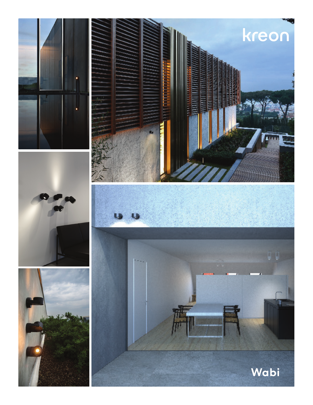